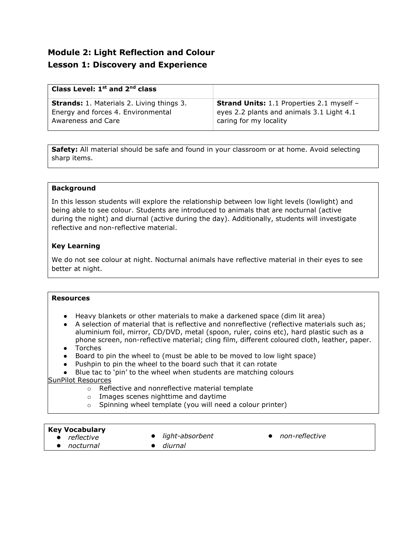# **Module 2: Light Reflection and Colour Lesson 1: Discovery and Experience**

| Class Level: $1st$ and $2nd$ class               |                                                  |
|--------------------------------------------------|--------------------------------------------------|
| <b>Strands:</b> 1. Materials 2. Living things 3. | <b>Strand Units:</b> 1.1 Properties 2.1 myself - |
| Energy and forces 4. Environmental               | eyes 2.2 plants and animals 3.1 Light 4.1        |
| Awareness and Care                               | caring for my locality                           |

**Safety:** All material should be safe and found in your classroom or at home. Avoid selecting sharp items.

## **Background**

In this lesson students will explore the relationship between low light levels (lowlight) and being able to see colour. Students are introduced to animals that are nocturnal (active during the night) and diurnal (active during the day). Additionally, students will investigate reflective and non-reflective material.

## **Key Learning**

We do not see colour at night. Nocturnal animals have reflective material in their eyes to see better at night.

## **Resources**

- Heavy blankets or other materials to make a darkened space (dim lit area)
- A selection of material that is reflective and nonreflective (reflective materials such as; aluminium foil, mirror, CD/DVD, metal (spoon, ruler, coins etc), hard plastic such as a phone screen, non-reflective material; cling film, different coloured cloth, leather, paper.
- Torches
- Board to pin the wheel to (must be able to be moved to low light space)
- Pushpin to pin the wheel to the board such that it can rotate

● Blue tac to 'pin' to the wheel when students are matching colours

## SunPilot Resources

- o Reflective and nonreflective material template
- o Images scenes nighttime and daytime
- o Spinning wheel template (you will need a colour printer)

## **Key Vocabulary**

- *reflective* **a** *light-absorbent non-reflective*<br>● *nocturnal diurnal*
- 
- *nocturnal diurnal*
-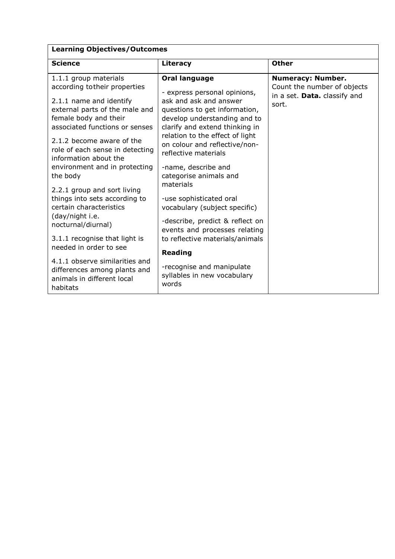| <b>Learning Objectives/Outcomes</b>                                                                                                                                                                                                                                                                                                                                                                                                                                                                                                                                                                                             |                                                                                                                                                                                                                                                                                                                                                                                                                                                                                                                                                                                                |                                                                                                  |
|---------------------------------------------------------------------------------------------------------------------------------------------------------------------------------------------------------------------------------------------------------------------------------------------------------------------------------------------------------------------------------------------------------------------------------------------------------------------------------------------------------------------------------------------------------------------------------------------------------------------------------|------------------------------------------------------------------------------------------------------------------------------------------------------------------------------------------------------------------------------------------------------------------------------------------------------------------------------------------------------------------------------------------------------------------------------------------------------------------------------------------------------------------------------------------------------------------------------------------------|--------------------------------------------------------------------------------------------------|
| <b>Science</b>                                                                                                                                                                                                                                                                                                                                                                                                                                                                                                                                                                                                                  | Literacy                                                                                                                                                                                                                                                                                                                                                                                                                                                                                                                                                                                       | <b>Other</b>                                                                                     |
| 1.1.1 group materials<br>according to their properties<br>2.1.1 name and identify<br>external parts of the male and<br>female body and their<br>associated functions or senses<br>2.1.2 become aware of the<br>role of each sense in detecting<br>information about the<br>environment and in protecting<br>the body<br>2.2.1 group and sort living<br>things into sets according to<br>certain characteristics<br>(day/night i.e.<br>nocturnal/diurnal)<br>3.1.1 recognise that light is<br>needed in order to see<br>4.1.1 observe similarities and<br>differences among plants and<br>animals in different local<br>habitats | Oral language<br>- express personal opinions,<br>ask and ask and answer<br>questions to get information,<br>develop understanding and to<br>clarify and extend thinking in<br>relation to the effect of light<br>on colour and reflective/non-<br>reflective materials<br>-name, describe and<br>categorise animals and<br>materials<br>-use sophisticated oral<br>vocabulary (subject specific)<br>-describe, predict & reflect on<br>events and processes relating<br>to reflective materials/animals<br><b>Reading</b><br>-recognise and manipulate<br>syllables in new vocabulary<br>words | <b>Numeracy: Number.</b><br>Count the number of objects<br>in a set. Data. classify and<br>sort. |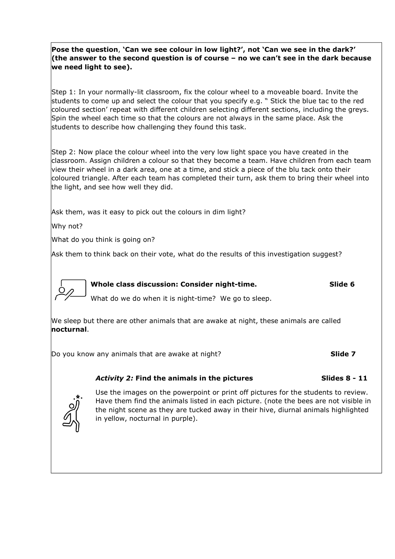**Pose the question**, **'Can we see colour in low light?', not 'Can we see in the dark?' (the answer to the second question is of course – no we can't see in the dark because we need light to see).**

Step 1: In your normally-lit classroom, fix the colour wheel to a moveable board. Invite the students to come up and select the colour that you specify e.g. " Stick the blue tac to the red coloured section' repeat with different children selecting different sections, including the greys. Spin the wheel each time so that the colours are not always in the same place. Ask the students to describe how challenging they found this task.

Step 2: Now place the colour wheel into the very low light space you have created in the classroom. Assign children a colour so that they become a team. Have children from each team view their wheel in a dark area, one at a time, and stick a piece of the blu tack onto their coloured triangle. After each team has completed their turn, ask them to bring their wheel into the light, and see how well they did.

Ask them, was it easy to pick out the colours in dim light?

Why not?

What do you think is going on?

Ask them to think back on their vote, what do the results of this investigation suggest?



**Whole class discussion: Consider night-time. Slide 6**

What do we do when it is night-time? We go to sleep.

We sleep but there are other animals that are awake at night, these animals are called **nocturnal**.

Do you know any animals that are awake at night? **Slide 7**



Use the images on the powerpoint or print off pictures for the students to review. Have them find the animals listed in each picture. (note the bees are not visible in the night scene as they are tucked away in their hive, diurnal animals highlighted in yellow, nocturnal in purple).

*Activity 2:* **Find the animals in the pictures Slides 8 - 11**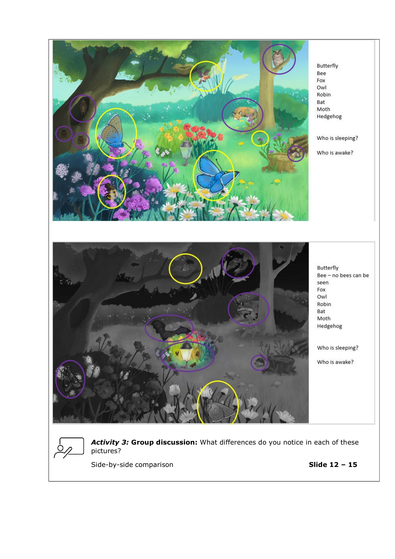



*Activity 3:* **Group discussion:** What differences do you notice in each of these pictures?

Side-by-side comparison **Slide 12 – 15**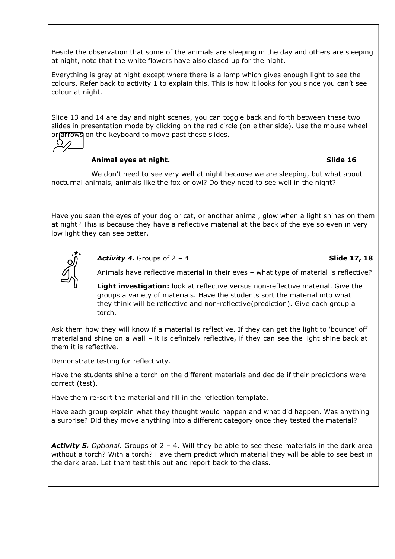Beside the observation that some of the animals are sleeping in the day and others are sleeping at night, note that the white flowers have also closed up for the night.

Everything is grey at night except where there is a lamp which gives enough light to see the colours. Refer back to activity 1 to explain this. This is how it looks for you since you can't see colour at night.

Slide 13 and 14 are day and night scenes, you can toggle back and forth between these two slides in presentation mode by clicking on the red circle (on either side). Use the mouse wheel or arrows on the keyboard to move past these slides.



## **Animal eyes at night. Slide 16**

We don't need to see very well at night because we are sleeping, but what about nocturnal animals, animals like the fox or owl? Do they need to see well in the night?

Have you seen the eyes of your dog or cat, or another animal, glow when a light shines on them at night? This is because they have a reflective material at the back of the eye so even in very low light they can see better.



*Activity 4.* Groups of 2 – 4 **Slide 17, 18**

Animals have reflective material in their eyes – what type of material is reflective?

**Light investigation:** look at reflective versus non-reflective material. Give the groups a variety of materials. Have the students sort the material into what they think will be reflective and non-reflective (prediction). Give each group a torch.

Ask them how they will know if a material is reflective. If they can get the light to 'bounce' off materialand shine on a wall – it is definitely reflective, if they can see the light shine back at them it is reflective.

Demonstrate testing for reflectivity.

Have the students shine a torch on the different materials and decide if their predictions were correct (test).

Have them re-sort the material and fill in the reflection template.

Have each group explain what they thought would happen and what did happen. Was anything a surprise? Did they move anything into a different category once they tested the material?

Activity 5. *Optional*. Groups of 2 - 4. Will they be able to see these materials in the dark area without a torch? With a torch? Have them predict which material they will be able to see best in the dark area. Let them test this out and report back to the class.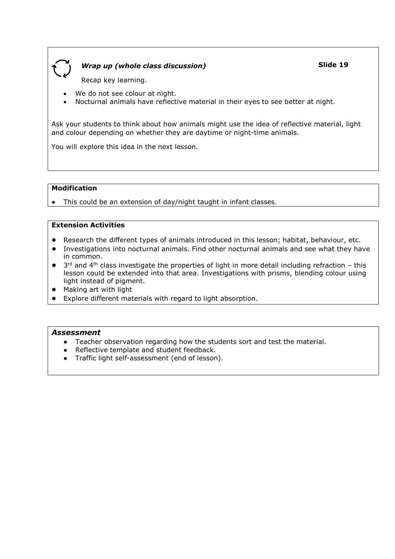

## *Wrap up (whole class discussion)*

**Slide 19**

Recap key learning.

- We do not see colour at night.
- Nocturnal animals have reflective material in their eyes to see better at night.

Ask your students to think about how animals might use the idea of reflective material, light and colour depending on whether they are daytime or night-time animals.

You will explore this idea in the next lesson.

## **Modification**

● This could be an extension of day/night taught in infant classes.

## **Extension Activities**

- Research the different types of animals introduced in this lesson; habitat, behaviour, etc.
- Investigations into nocturnal animals. Find other nocturnal animals and see what they have in common.
- $\bullet$  3<sup>rd</sup> and 4<sup>th</sup> class investigate the properties of light in more detail including refraction this lesson could be extended into that area. Investigations with prisms, blending colour using light instead of pigment.
- Making art with light
- Explore different materials with regard to light absorption.

## *Assessment*

- Teacher observation regarding how the students sort and test the material.
- Reflective template and student feedback.
- Traffic light self-assessment (end of lesson).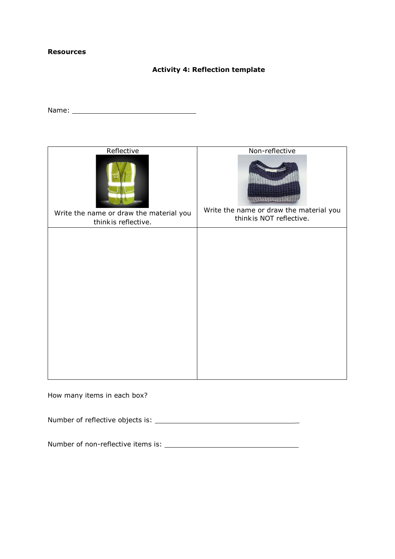## **Resources**

## **Activity 4: Reflection template**

Name:

| Reflective                                                     | Non-reflective                                                      |
|----------------------------------------------------------------|---------------------------------------------------------------------|
| Write the name or draw the material you<br>thinkis reflective. | Write the name or draw the material you<br>think is NOT reflective. |
|                                                                |                                                                     |
|                                                                |                                                                     |
|                                                                |                                                                     |
|                                                                |                                                                     |
|                                                                |                                                                     |
|                                                                |                                                                     |
|                                                                |                                                                     |
|                                                                |                                                                     |
|                                                                |                                                                     |
|                                                                |                                                                     |
|                                                                |                                                                     |
|                                                                |                                                                     |
|                                                                |                                                                     |

How many items in each box?

Number of reflective objects is: \_

Number of non-reflective items is: